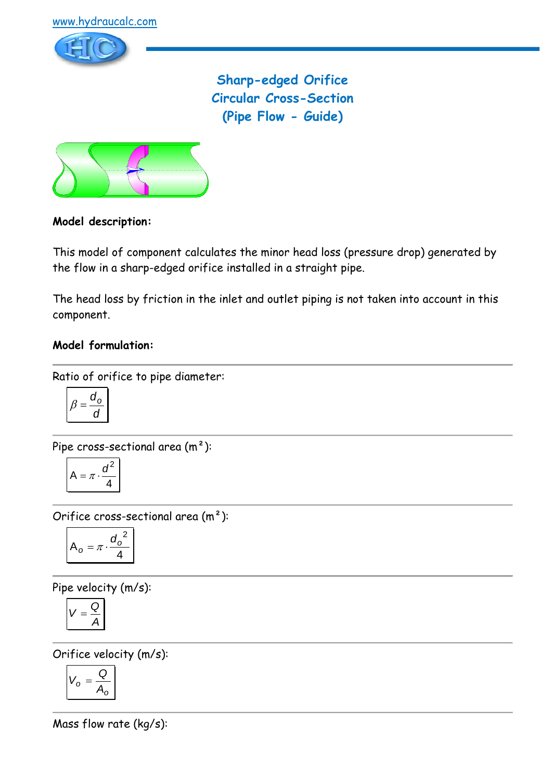

**Sharp-edged Orifice Circular Cross-Section (Pipe Flow - Guide)**



### **Model description:**

This model of component calculates the minor head loss (pressure drop) generated by the flow in a sharp-edged orifice installed in a straight pipe.

The head loss by friction in the inlet and outlet piping is not taken into account in this component.

### **Model formulation:**

Ratio of orifice to pipe diameter:

$$
\beta = \frac{d_0}{d}
$$

Pipe cross-sectional area (m²):

$$
A = \pi \cdot \frac{d^2}{4}
$$

Orifice cross-sectional area (m²):

$$
A_o = \pi \cdot \frac{{d_o}^2}{4}
$$

Pipe velocity (m/s):

$$
V=\frac{Q}{A}
$$

Orifice velocity (m/s):

$$
V_o = \frac{Q}{A_o}
$$

Mass flow rate (kg/s):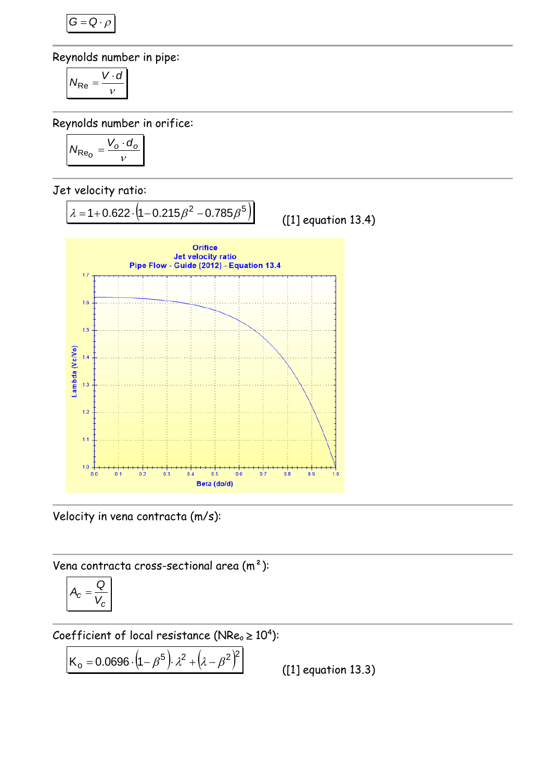$$
G=Q\cdot \rho
$$

Reynolds number in pipe:

$$
N_{\text{Re}} = \frac{V \cdot d}{v}
$$

Reynolds number in orifice:

$$
N_{\text{Re}_O} = \frac{V_o \cdot d_o}{v}
$$

Jet velocity ratio:



Velocity in vena contracta (m/s):

Vena contracta cross-sectional area (m²):

$$
A_c = \frac{Q}{V_c}
$$

Coefficient of local resistance (NRe $_{\circ}$   $\geq 10^{4}$ ):

$$
K_o = 0.0696 \cdot (1 - \beta^5) \cdot \lambda^2 + (\lambda - \beta^2)^2
$$

([1] equation 13.3)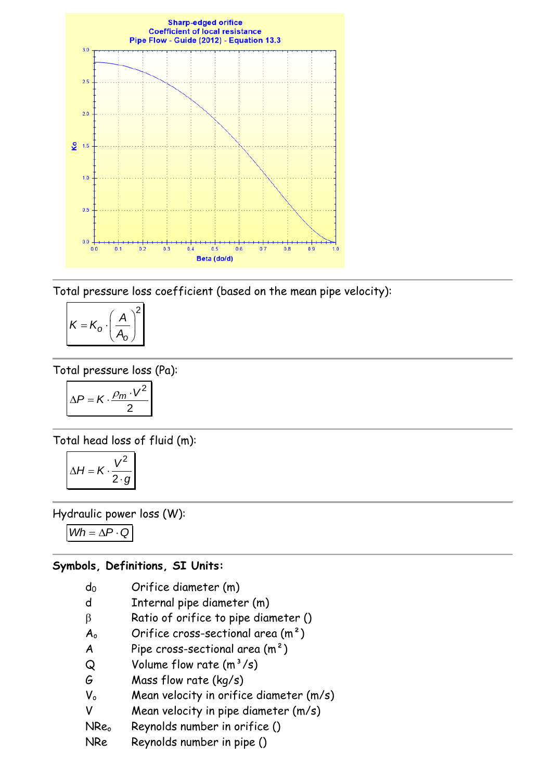

Total pressure loss coefficient (based on the mean pipe velocity):

$$
K = K_o \cdot \left(\frac{A}{A_o}\right)^2
$$

Total pressure loss (Pa):

$$
\Delta P = K \cdot \frac{\rho_m \cdot V^2}{2}
$$

Total head loss of fluid (m):

$$
\Delta H = K \cdot \frac{V^2}{2 \cdot g}
$$

Hydraulic power loss (W):

 $Wh = \Delta P \cdot Q$ 

#### **Symbols, Definitions, SI Units:**

| $d_0$ | Orifice diameter (m) |
|-------|----------------------|
|-------|----------------------|

- d Internal pipe diameter (m)
- $\beta$  Ratio of orifice to pipe diameter ()
- $A_0$  Orifice cross-sectional area  $(m^2)$
- A Pipe cross-sectional area  $(m<sup>2</sup>)$
- $Q$  Volume flow rate  $(m<sup>3</sup>/s)$
- G Mass flow rate (kg/s)
- V<sub>o</sub> Mean velocity in orifice diameter (m/s)
- V Mean velocity in pipe diameter (m/s)
- NRe<sub>o</sub> Reynolds number in orifice ()
- NRe Reynolds number in pipe ()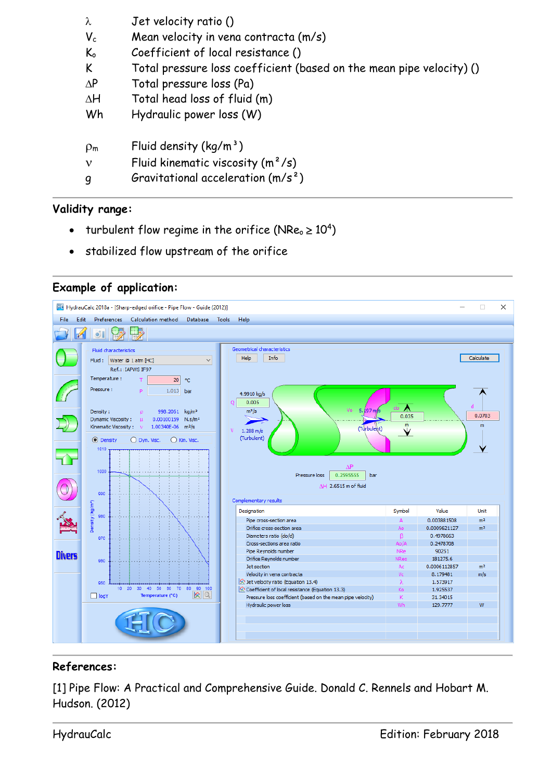| λ                         | Jet velocity ratio ()                                                |
|---------------------------|----------------------------------------------------------------------|
| $V_c$                     | Mean velocity in vena contracta (m/s)                                |
| $\mathsf{K}_{\mathrm{o}}$ | Coefficient of local resistance ()                                   |
| K                         | Total pressure loss coefficient (based on the mean pipe velocity) () |
| $\Delta P$                | Total pressure loss (Pa)                                             |
| $\Delta H$                | Total head loss of fluid (m)                                         |
| Wh                        | Hydraulic power loss (W)                                             |
| $\rho_{\rm m}$            | Fluid density $(kq/m^3)$                                             |
| ν                         | Fluid kinematic viscosity $(m^2/s)$                                  |
| q                         | Gravitational acceleration $(m/s^2)$                                 |

### **Validity range:**

- turbulent flow regime in the orifice (NRe<sub>o</sub>  $\geq 10^4$ )
- stabilized flow upstream of the orifice

## **Example of application:**



# **References:**

[1] Pipe Flow: A Practical and Comprehensive Guide. Donald C. Rennels and Hobart M. Hudson. (2012)